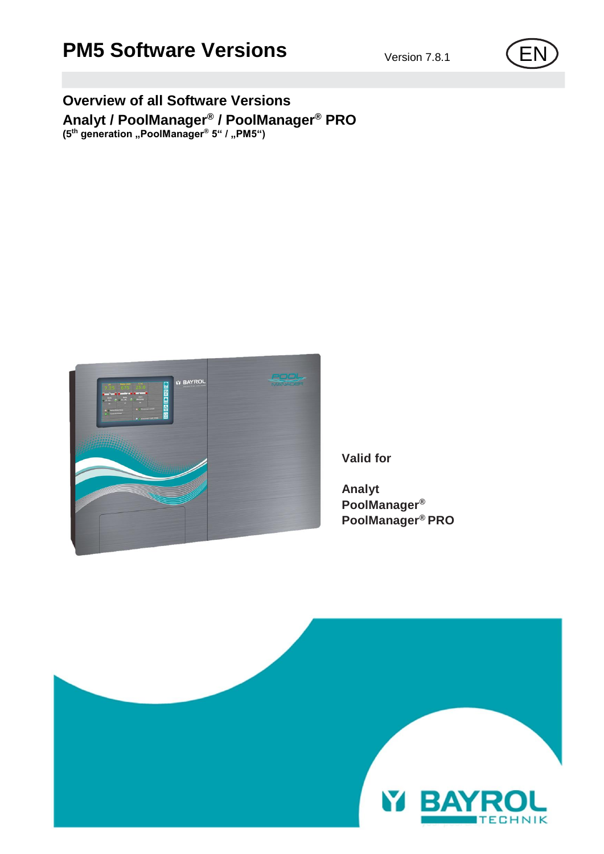## **PM5 Software Versions** Version 7.8.1 **EN**

## **Overview of all Software Versions Analyt / PoolManager® / PoolManager® PRO (5th generation "PoolManager® 5" / "PM5")**



**Valid for**

**Analyt PoolManager® PoolManager® PRO**



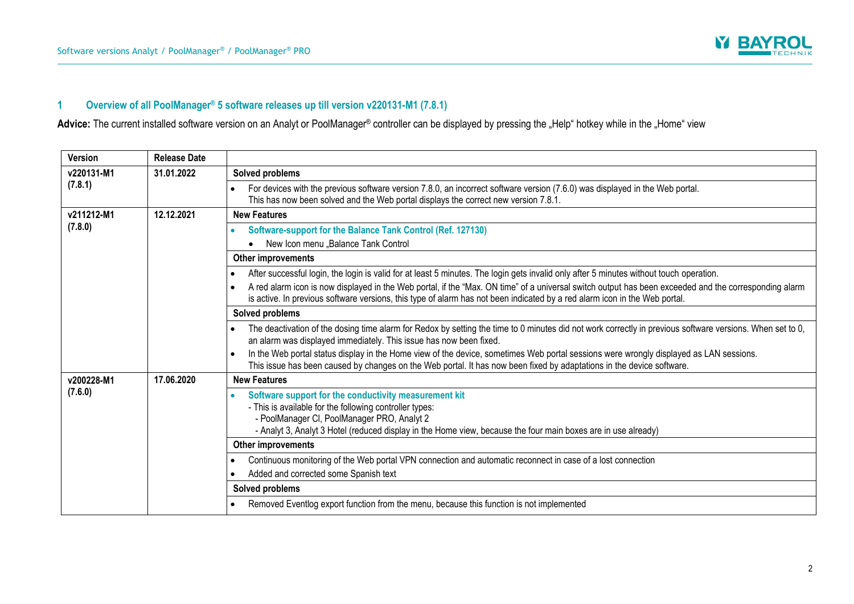

## **1 Overview of all PoolManager® 5 software releases up till version v220131-M1 (7.8.1)**

Advice: The current installed software version on an Analyt or PoolManager® controller can be displayed by pressing the "Help" hotkey while in the "Home" view

| <b>Version</b> | <b>Release Date</b> |                                                                                                                                                                                                                                                                                                                                                                                                                                |
|----------------|---------------------|--------------------------------------------------------------------------------------------------------------------------------------------------------------------------------------------------------------------------------------------------------------------------------------------------------------------------------------------------------------------------------------------------------------------------------|
| v220131-M1     | 31.01.2022          | Solved problems                                                                                                                                                                                                                                                                                                                                                                                                                |
| (7.8.1)        |                     | For devices with the previous software version 7.8.0, an incorrect software version (7.6.0) was displayed in the Web portal.<br>This has now been solved and the Web portal displays the correct new version 7.8.1.                                                                                                                                                                                                            |
| v211212-M1     | 12.12.2021          | <b>New Features</b>                                                                                                                                                                                                                                                                                                                                                                                                            |
| (7.8.0)        |                     | Software-support for the Balance Tank Control (Ref. 127130)<br>New Icon menu "Balance Tank Control                                                                                                                                                                                                                                                                                                                             |
|                |                     | <b>Other improvements</b>                                                                                                                                                                                                                                                                                                                                                                                                      |
|                |                     | After successful login, the login is valid for at least 5 minutes. The login gets invalid only after 5 minutes without touch operation.<br>A red alarm icon is now displayed in the Web portal, if the "Max. ON time" of a universal switch output has been exceeded and the corresponding alarm<br>is active. In previous software versions, this type of alarm has not been indicated by a red alarm icon in the Web portal. |
|                |                     | Solved problems                                                                                                                                                                                                                                                                                                                                                                                                                |
|                |                     | The deactivation of the dosing time alarm for Redox by setting the time to 0 minutes did not work correctly in previous software versions. When set to 0,<br>an alarm was displayed immediately. This issue has now been fixed.                                                                                                                                                                                                |
|                |                     | In the Web portal status display in the Home view of the device, sometimes Web portal sessions were wrongly displayed as LAN sessions.<br>This issue has been caused by changes on the Web portal. It has now been fixed by adaptations in the device software.                                                                                                                                                                |
| v200228-M1     | 17.06.2020          | <b>New Features</b>                                                                                                                                                                                                                                                                                                                                                                                                            |
| (7.6.0)        |                     | Software support for the conductivity measurement kit<br>- This is available for the following controller types:<br>- PoolManager Cl, PoolManager PRO, Analyt 2<br>- Analyt 3, Analyt 3 Hotel (reduced display in the Home view, because the four main boxes are in use already)                                                                                                                                               |
|                |                     | Other improvements                                                                                                                                                                                                                                                                                                                                                                                                             |
|                |                     | Continuous monitoring of the Web portal VPN connection and automatic reconnect in case of a lost connection<br>Added and corrected some Spanish text                                                                                                                                                                                                                                                                           |
|                |                     | Solved problems                                                                                                                                                                                                                                                                                                                                                                                                                |
|                |                     | Removed Eventlog export function from the menu, because this function is not implemented                                                                                                                                                                                                                                                                                                                                       |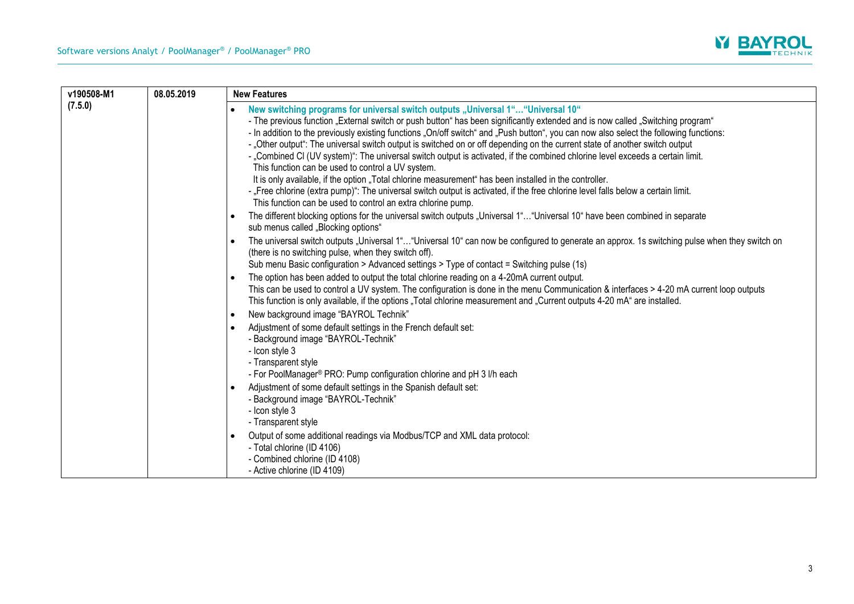

| v190508-M1 | 08.05.2019 | <b>New Features</b>                                                                                                                                                                                                                                                                                                                                                                                                                                                                                                                                                                                                                                                                                                                                                                                                                                                                                                                                                                               |
|------------|------------|---------------------------------------------------------------------------------------------------------------------------------------------------------------------------------------------------------------------------------------------------------------------------------------------------------------------------------------------------------------------------------------------------------------------------------------------------------------------------------------------------------------------------------------------------------------------------------------------------------------------------------------------------------------------------------------------------------------------------------------------------------------------------------------------------------------------------------------------------------------------------------------------------------------------------------------------------------------------------------------------------|
| (7.5.0)    |            | New switching programs for universal switch outputs "Universal 1" "Universal 10"<br>- The previous function "External switch or push button" has been significantly extended and is now called "Switching program"<br>- In addition to the previously existing functions "On/off switch" and "Push button", you can now also select the following functions:<br>- "Other output": The universal switch output is switched on or off depending on the current state of another switch output<br>- "Combined CI (UV system)": The universal switch output is activated, if the combined chlorine level exceeds a certain limit.<br>This function can be used to control a UV system.<br>It is only available, if the option "Total chlorine measurement" has been installed in the controller.<br>- "Free chlorine (extra pump)": The universal switch output is activated, if the free chlorine level falls below a certain limit.<br>This function can be used to control an extra chlorine pump. |
|            |            | The different blocking options for the universal switch outputs "Universal 1" "Universal 10" have been combined in separate<br>$\bullet$<br>sub menus called "Blocking options"                                                                                                                                                                                                                                                                                                                                                                                                                                                                                                                                                                                                                                                                                                                                                                                                                   |
|            |            | The universal switch outputs "Universal 1""Universal 10" can now be configured to generate an approx. 1s switching pulse when they switch on<br>$\bullet$<br>(there is no switching pulse, when they switch off).<br>Sub menu Basic configuration > Advanced settings > Type of contact = Switching pulse (1s)                                                                                                                                                                                                                                                                                                                                                                                                                                                                                                                                                                                                                                                                                    |
|            |            | The option has been added to output the total chlorine reading on a 4-20mA current output.<br>٠<br>This can be used to control a UV system. The configuration is done in the menu Communication & interfaces > 4-20 mA current loop outputs<br>This function is only available, if the options "Total chlorine measurement and "Current outputs 4-20 mA" are installed.                                                                                                                                                                                                                                                                                                                                                                                                                                                                                                                                                                                                                           |
|            |            | New background image "BAYROL Technik"<br>$\bullet$                                                                                                                                                                                                                                                                                                                                                                                                                                                                                                                                                                                                                                                                                                                                                                                                                                                                                                                                                |
|            |            | Adjustment of some default settings in the French default set:<br>- Background image "BAYROL-Technik"<br>- Icon style 3<br>- Transparent style<br>- For PoolManager® PRO: Pump configuration chlorine and pH 3 I/h each                                                                                                                                                                                                                                                                                                                                                                                                                                                                                                                                                                                                                                                                                                                                                                           |
|            |            | Adjustment of some default settings in the Spanish default set:<br>- Background image "BAYROL-Technik"<br>- Icon style 3<br>- Transparent style                                                                                                                                                                                                                                                                                                                                                                                                                                                                                                                                                                                                                                                                                                                                                                                                                                                   |
|            |            | Output of some additional readings via Modbus/TCP and XML data protocol:<br>- Total chlorine (ID 4106)<br>- Combined chlorine (ID 4108)<br>- Active chlorine (ID 4109)                                                                                                                                                                                                                                                                                                                                                                                                                                                                                                                                                                                                                                                                                                                                                                                                                            |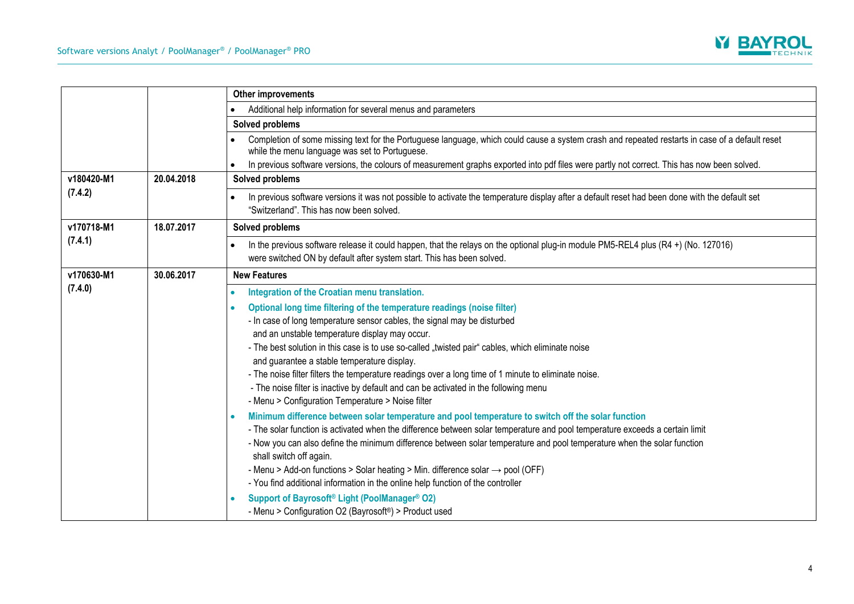

|            |            | Other improvements                                                                                                                                                                                                                                                                                                                                                                                                                                                                                                                                                                                                                                                                                           |
|------------|------------|--------------------------------------------------------------------------------------------------------------------------------------------------------------------------------------------------------------------------------------------------------------------------------------------------------------------------------------------------------------------------------------------------------------------------------------------------------------------------------------------------------------------------------------------------------------------------------------------------------------------------------------------------------------------------------------------------------------|
|            |            | Additional help information for several menus and parameters                                                                                                                                                                                                                                                                                                                                                                                                                                                                                                                                                                                                                                                 |
|            |            | Solved problems                                                                                                                                                                                                                                                                                                                                                                                                                                                                                                                                                                                                                                                                                              |
|            |            | Completion of some missing text for the Portuguese language, which could cause a system crash and repeated restarts in case of a default reset<br>while the menu language was set to Portuguese.<br>In previous software versions, the colours of measurement graphs exported into pdf files were partly not correct. This has now been solved.                                                                                                                                                                                                                                                                                                                                                              |
| v180420-M1 | 20.04.2018 | Solved problems                                                                                                                                                                                                                                                                                                                                                                                                                                                                                                                                                                                                                                                                                              |
| (7.4.2)    |            |                                                                                                                                                                                                                                                                                                                                                                                                                                                                                                                                                                                                                                                                                                              |
|            |            | In previous software versions it was not possible to activate the temperature display after a default reset had been done with the default set<br>"Switzerland". This has now been solved.                                                                                                                                                                                                                                                                                                                                                                                                                                                                                                                   |
| v170718-M1 | 18.07.2017 | Solved problems                                                                                                                                                                                                                                                                                                                                                                                                                                                                                                                                                                                                                                                                                              |
| (7.4.1)    |            | In the previous software release it could happen, that the relays on the optional plug-in module PM5-REL4 plus $(R4 +)$ (No. 127016)<br>$\bullet$<br>were switched ON by default after system start. This has been solved.                                                                                                                                                                                                                                                                                                                                                                                                                                                                                   |
| v170630-M1 | 30.06.2017 | <b>New Features</b>                                                                                                                                                                                                                                                                                                                                                                                                                                                                                                                                                                                                                                                                                          |
| (7.4.0)    |            | Integration of the Croatian menu translation.                                                                                                                                                                                                                                                                                                                                                                                                                                                                                                                                                                                                                                                                |
|            |            | Optional long time filtering of the temperature readings (noise filter)<br>- In case of long temperature sensor cables, the signal may be disturbed<br>and an unstable temperature display may occur.<br>- The best solution in this case is to use so-called "twisted pair" cables, which eliminate noise<br>and guarantee a stable temperature display.<br>- The noise filter filters the temperature readings over a long time of 1 minute to eliminate noise.<br>- The noise filter is inactive by default and can be activated in the following menu<br>- Menu > Configuration Temperature > Noise filter                                                                                               |
|            |            | Minimum difference between solar temperature and pool temperature to switch off the solar function<br>- The solar function is activated when the difference between solar temperature and pool temperature exceeds a certain limit<br>- Now you can also define the minimum difference between solar temperature and pool temperature when the solar function<br>shall switch off again.<br>- Menu > Add-on functions > Solar heating > Min. difference solar $\rightarrow$ pool (OFF)<br>- You find additional information in the online help function of the controller<br>Support of Bayrosoft <sup>®</sup> Light (PoolManager® O2)<br>- Menu > Configuration O2 (Bayrosoft <sup>®</sup> ) > Product used |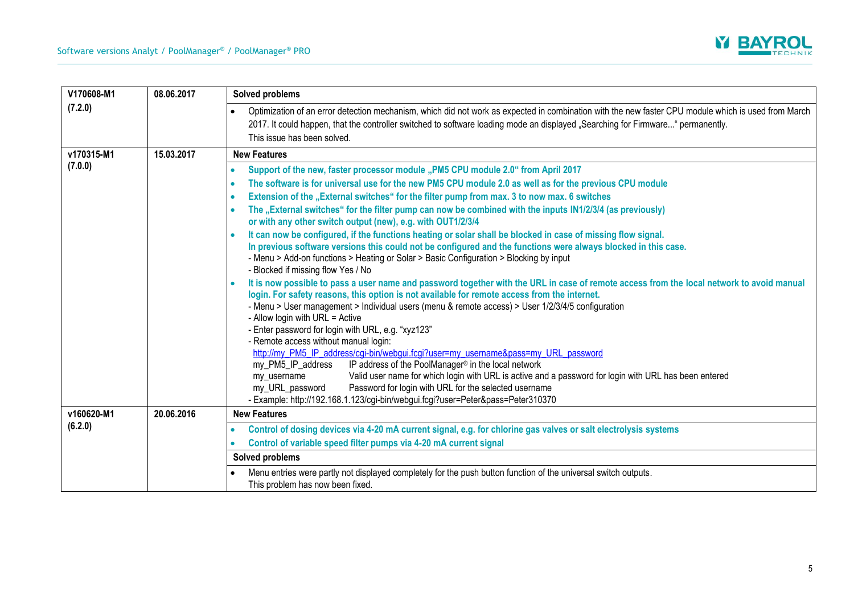

| V170608-M1 | 08.06.2017 | Solved problems                                                                                                                                                                                                                                                                                                                                                                                                                                                                                                                                                                                                                                                                                                                                                                                                                                                                                                                                                                                                                                                                                                                                                                                                                            |
|------------|------------|--------------------------------------------------------------------------------------------------------------------------------------------------------------------------------------------------------------------------------------------------------------------------------------------------------------------------------------------------------------------------------------------------------------------------------------------------------------------------------------------------------------------------------------------------------------------------------------------------------------------------------------------------------------------------------------------------------------------------------------------------------------------------------------------------------------------------------------------------------------------------------------------------------------------------------------------------------------------------------------------------------------------------------------------------------------------------------------------------------------------------------------------------------------------------------------------------------------------------------------------|
| (7.2.0)    |            | Optimization of an error detection mechanism, which did not work as expected in combination with the new faster CPU module which is used from March<br>2017. It could happen, that the controller switched to software loading mode an displayed "Searching for Firmware" permanently.<br>This issue has been solved.                                                                                                                                                                                                                                                                                                                                                                                                                                                                                                                                                                                                                                                                                                                                                                                                                                                                                                                      |
| v170315-M1 | 15.03.2017 | <b>New Features</b>                                                                                                                                                                                                                                                                                                                                                                                                                                                                                                                                                                                                                                                                                                                                                                                                                                                                                                                                                                                                                                                                                                                                                                                                                        |
| (7.0.0)    |            | Support of the new, faster processor module "PM5 CPU module 2.0" from April 2017<br>$\bullet$<br>The software is for universal use for the new PM5 CPU module 2.0 as well as for the previous CPU module<br>Extension of the "External switches" for the filter pump from max. 3 to now max. 6 switches<br>The "External switches" for the filter pump can now be combined with the inputs IN1/2/3/4 (as previously)<br>or with any other switch output (new), e.g. with OUT1/2/3/4<br>It can now be configured, if the functions heating or solar shall be blocked in case of missing flow signal.<br>In previous software versions this could not be configured and the functions were always blocked in this case.<br>- Menu > Add-on functions > Heating or Solar > Basic Configuration > Blocking by input<br>- Blocked if missing flow Yes / No<br>It is now possible to pass a user name and password together with the URL in case of remote access from the local network to avoid manual<br>login. For safety reasons, this option is not available for remote access from the internet.<br>- Menu > User management > Individual users (menu & remote access) > User 1/2/3/4/5 configuration<br>- Allow login with URL = Active |
|            |            | - Enter password for login with URL, e.g. "xyz123"<br>- Remote access without manual login:<br>http://my PM5 IP_address/cgi-bin/webgui.fcgi?user=my_username&pass=my_URL_password<br>IP address of the PoolManager® in the local network<br>my_PM5_IP_address<br>Valid user name for which login with URL is active and a password for login with URL has been entered<br>my_username<br>Password for login with URL for the selected username<br>my_URL_password<br>- Example: http://192.168.1.123/cgi-bin/webgui.fcgi?user=Peter&pass=Peter310370                                                                                                                                                                                                                                                                                                                                                                                                                                                                                                                                                                                                                                                                                       |
| v160620-M1 | 20.06.2016 | <b>New Features</b>                                                                                                                                                                                                                                                                                                                                                                                                                                                                                                                                                                                                                                                                                                                                                                                                                                                                                                                                                                                                                                                                                                                                                                                                                        |
| (6.2.0)    |            | Control of dosing devices via 4-20 mA current signal, e.g. for chlorine gas valves or salt electrolysis systems<br>Control of variable speed filter pumps via 4-20 mA current signal<br>Solved problems                                                                                                                                                                                                                                                                                                                                                                                                                                                                                                                                                                                                                                                                                                                                                                                                                                                                                                                                                                                                                                    |
|            |            | Menu entries were partly not displayed completely for the push button function of the universal switch outputs.<br>This problem has now been fixed.                                                                                                                                                                                                                                                                                                                                                                                                                                                                                                                                                                                                                                                                                                                                                                                                                                                                                                                                                                                                                                                                                        |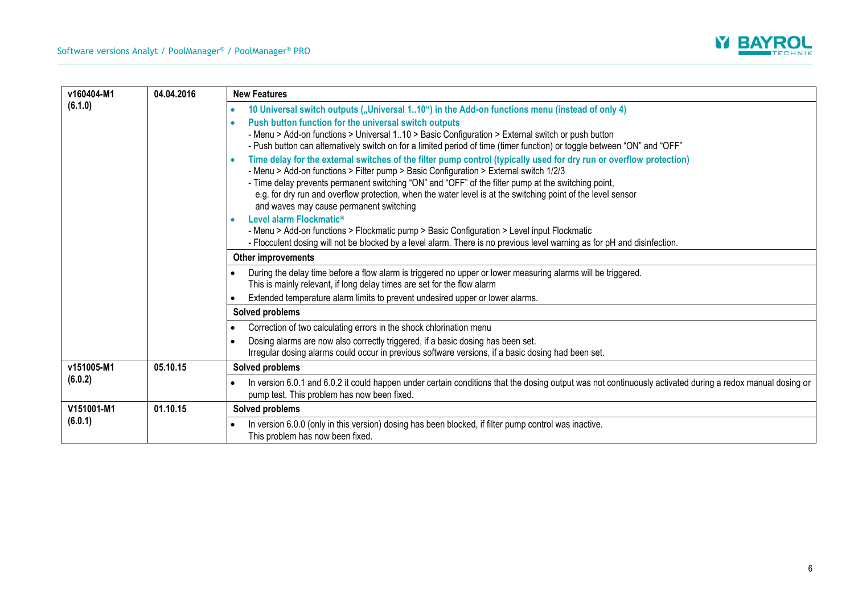

| v160404-M1<br>(6.1.0) | 04.04.2016 | <b>New Features</b>                                                                                                                                                                                                                                                                                                                                                                                                                                                                                                   |
|-----------------------|------------|-----------------------------------------------------------------------------------------------------------------------------------------------------------------------------------------------------------------------------------------------------------------------------------------------------------------------------------------------------------------------------------------------------------------------------------------------------------------------------------------------------------------------|
|                       |            | 10 Universal switch outputs ("Universal 110") in the Add-on functions menu (instead of only 4)                                                                                                                                                                                                                                                                                                                                                                                                                        |
|                       |            | Push button function for the universal switch outputs<br>- Menu > Add-on functions > Universal 110 > Basic Configuration > External switch or push button<br>- Push button can alternatively switch on for a limited period of time (timer function) or toggle between "ON" and "OFF"                                                                                                                                                                                                                                 |
|                       |            | Time delay for the external switches of the filter pump control (typically used for dry run or overflow protection)<br>- Menu > Add-on functions > Filter pump > Basic Configuration > External switch 1/2/3<br>- Time delay prevents permanent switching "ON" and "OFF" of the filter pump at the switching point,<br>e.g. for dry run and overflow protection, when the water level is at the switching point of the level sensor<br>and waves may cause permanent switching<br>Level alarm Flockmatic <sup>®</sup> |
|                       |            | - Menu > Add-on functions > Flockmatic pump > Basic Configuration > Level input Flockmatic<br>- Flocculent dosing will not be blocked by a level alarm. There is no previous level warning as for pH and disinfection.                                                                                                                                                                                                                                                                                                |
|                       |            | Other improvements                                                                                                                                                                                                                                                                                                                                                                                                                                                                                                    |
|                       |            | During the delay time before a flow alarm is triggered no upper or lower measuring alarms will be triggered.<br>This is mainly relevant, if long delay times are set for the flow alarm                                                                                                                                                                                                                                                                                                                               |
|                       |            | Extended temperature alarm limits to prevent undesired upper or lower alarms.                                                                                                                                                                                                                                                                                                                                                                                                                                         |
|                       |            | Solved problems                                                                                                                                                                                                                                                                                                                                                                                                                                                                                                       |
|                       |            | Correction of two calculating errors in the shock chlorination menu                                                                                                                                                                                                                                                                                                                                                                                                                                                   |
|                       |            | Dosing alarms are now also correctly triggered, if a basic dosing has been set.<br>Irregular dosing alarms could occur in previous software versions, if a basic dosing had been set.                                                                                                                                                                                                                                                                                                                                 |
| v151005-M1<br>(6.0.2) | 05.10.15   | Solved problems                                                                                                                                                                                                                                                                                                                                                                                                                                                                                                       |
|                       |            | In version 6.0.1 and 6.0.2 it could happen under certain conditions that the dosing output was not continuously activated during a redox manual dosing or<br>pump test. This problem has now been fixed.                                                                                                                                                                                                                                                                                                              |
| V151001-M1            | 01.10.15   | Solved problems                                                                                                                                                                                                                                                                                                                                                                                                                                                                                                       |
| (6.0.1)               |            | In version 6.0.0 (only in this version) dosing has been blocked, if filter pump control was inactive.<br>This problem has now been fixed.                                                                                                                                                                                                                                                                                                                                                                             |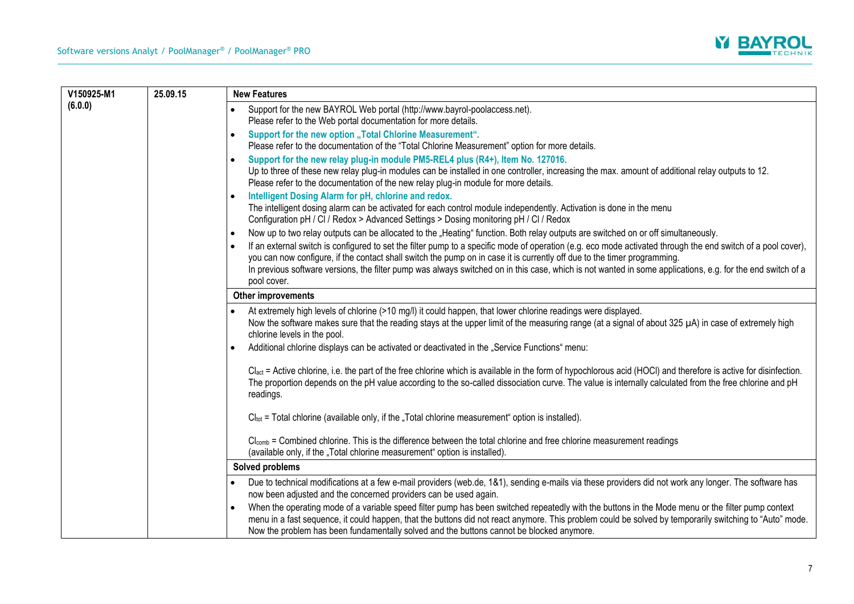

| V150925-M1 | 25.09.15 | <b>New Features</b>                                                                                                                                                                                                                                                                                                                                                                                                   |
|------------|----------|-----------------------------------------------------------------------------------------------------------------------------------------------------------------------------------------------------------------------------------------------------------------------------------------------------------------------------------------------------------------------------------------------------------------------|
| (6.0.0)    |          | Support for the new BAYROL Web portal (http://www.bayrol-poolaccess.net).<br>$\bullet$<br>Please refer to the Web portal documentation for more details.                                                                                                                                                                                                                                                              |
|            |          | Support for the new option "Total Chlorine Measurement".<br>$\bullet$<br>Please refer to the documentation of the "Total Chlorine Measurement" option for more details.                                                                                                                                                                                                                                               |
|            |          | Support for the new relay plug-in module PM5-REL4 plus (R4+), Item No. 127016.<br>$\bullet$<br>Up to three of these new relay plug-in modules can be installed in one controller, increasing the max. amount of additional relay outputs to 12.<br>Please refer to the documentation of the new relay plug-in module for more details.                                                                                |
|            |          | Intelligent Dosing Alarm for pH, chlorine and redox.<br>$\bullet$<br>The intelligent dosing alarm can be activated for each control module independently. Activation is done in the menu<br>Configuration pH / CI / Redox > Advanced Settings > Dosing monitoring pH / CI / Redox                                                                                                                                     |
|            |          | Now up to two relay outputs can be allocated to the "Heating" function. Both relay outputs are switched on or off simultaneously.<br>$\bullet$                                                                                                                                                                                                                                                                        |
|            |          | If an external switch is configured to set the filter pump to a specific mode of operation (e.g. eco mode activated through the end switch of a pool cover),<br>$\bullet$<br>you can now configure, if the contact shall switch the pump on in case it is currently off due to the timer programming.                                                                                                                 |
|            |          | In previous software versions, the filter pump was always switched on in this case, which is not wanted in some applications, e.g. for the end switch of a<br>pool cover.                                                                                                                                                                                                                                             |
|            |          | Other improvements                                                                                                                                                                                                                                                                                                                                                                                                    |
|            |          | At extremely high levels of chlorine (>10 mg/l) it could happen, that lower chlorine readings were displayed.<br>Now the software makes sure that the reading stays at the upper limit of the measuring range (at a signal of about 325 µA) in case of extremely high<br>chlorine levels in the pool.                                                                                                                 |
|            |          | Additional chlorine displays can be activated or deactivated in the "Service Functions" menu:<br>$\bullet$                                                                                                                                                                                                                                                                                                            |
|            |          | Clact = Active chlorine, i.e. the part of the free chlorine which is available in the form of hypochlorous acid (HOCI) and therefore is active for disinfection.<br>The proportion depends on the pH value according to the so-called dissociation curve. The value is internally calculated from the free chlorine and pH<br>readings.                                                                               |
|            |          | $Cl_{tot}$ = Total chlorine (available only, if the "Total chlorine measurement" option is installed).                                                                                                                                                                                                                                                                                                                |
|            |          | Cl <sub>comb</sub> = Combined chlorine. This is the difference between the total chlorine and free chlorine measurement readings<br>(available only, if the "Total chlorine measurement" option is installed).                                                                                                                                                                                                        |
|            |          | Solved problems                                                                                                                                                                                                                                                                                                                                                                                                       |
|            |          | Due to technical modifications at a few e-mail providers (web.de, 1&1), sending e-mails via these providers did not work any longer. The software has<br>now been adjusted and the concerned providers can be used again.                                                                                                                                                                                             |
|            |          | When the operating mode of a variable speed filter pump has been switched repeatedly with the buttons in the Mode menu or the filter pump context<br>$\bullet$<br>menu in a fast sequence, it could happen, that the buttons did not react anymore. This problem could be solved by temporarily switching to "Auto" mode.<br>Now the problem has been fundamentally solved and the buttons cannot be blocked anymore. |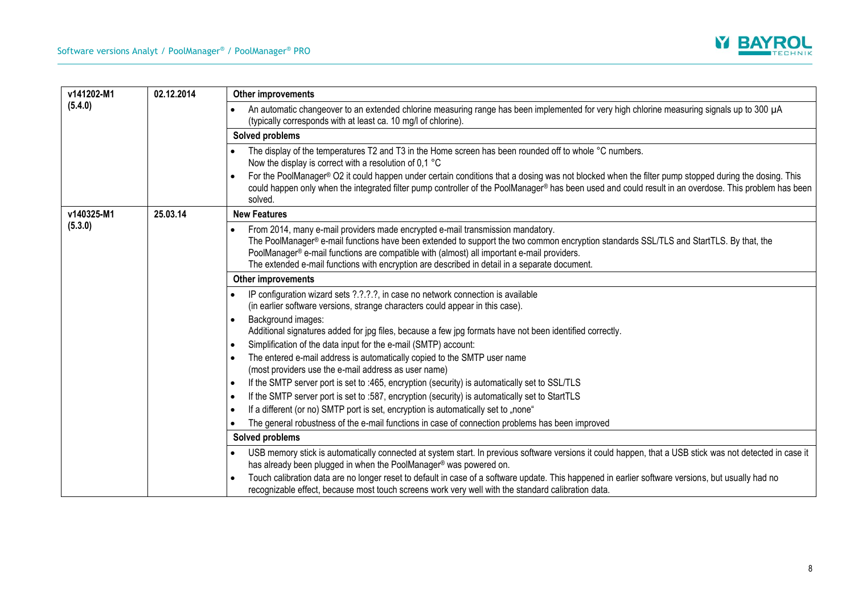

| v141202-M1<br>(5.4.0) | 02.12.2014 | Other improvements                                                                                                                                                                                                                                                                                                                                                                                                                                                                                    |
|-----------------------|------------|-------------------------------------------------------------------------------------------------------------------------------------------------------------------------------------------------------------------------------------------------------------------------------------------------------------------------------------------------------------------------------------------------------------------------------------------------------------------------------------------------------|
|                       |            | An automatic changeover to an extended chlorine measuring range has been implemented for very high chlorine measuring signals up to 300 µA<br>(typically corresponds with at least ca. 10 mg/l of chlorine).                                                                                                                                                                                                                                                                                          |
|                       |            | Solved problems                                                                                                                                                                                                                                                                                                                                                                                                                                                                                       |
|                       |            | The display of the temperatures T2 and T3 in the Home screen has been rounded off to whole °C numbers.<br>Now the display is correct with a resolution of 0,1 $^{\circ}$ C<br>For the PoolManager® O2 it could happen under certain conditions that a dosing was not blocked when the filter pump stopped during the dosing. This<br>could happen only when the integrated filter pump controller of the PoolManager® has been used and could result in an overdose. This problem has been<br>solved. |
| v140325-M1            | 25.03.14   | <b>New Features</b>                                                                                                                                                                                                                                                                                                                                                                                                                                                                                   |
| (5.3.0)               |            | From 2014, many e-mail providers made encrypted e-mail transmission mandatory.<br>The PoolManager® e-mail functions have been extended to support the two common encryption standards SSL/TLS and StartTLS. By that, the<br>PoolManager® e-mail functions are compatible with (almost) all important e-mail providers.<br>The extended e-mail functions with encryption are described in detail in a separate document.                                                                               |
|                       |            | <b>Other improvements</b>                                                                                                                                                                                                                                                                                                                                                                                                                                                                             |
|                       |            | IP configuration wizard sets ?.?.?.?, in case no network connection is available<br>(in earlier software versions, strange characters could appear in this case).                                                                                                                                                                                                                                                                                                                                     |
|                       |            | Background images:<br>$\bullet$<br>Additional signatures added for jpg files, because a few jpg formats have not been identified correctly.                                                                                                                                                                                                                                                                                                                                                           |
|                       |            | Simplification of the data input for the e-mail (SMTP) account:<br>$\bullet$                                                                                                                                                                                                                                                                                                                                                                                                                          |
|                       |            | The entered e-mail address is automatically copied to the SMTP user name<br>(most providers use the e-mail address as user name)                                                                                                                                                                                                                                                                                                                                                                      |
|                       |            | If the SMTP server port is set to :465, encryption (security) is automatically set to SSL/TLS<br>$\bullet$                                                                                                                                                                                                                                                                                                                                                                                            |
|                       |            | If the SMTP server port is set to :587, encryption (security) is automatically set to StartTLS<br>$\bullet$                                                                                                                                                                                                                                                                                                                                                                                           |
|                       |            | If a different (or no) SMTP port is set, encryption is automatically set to "none"<br>$\bullet$                                                                                                                                                                                                                                                                                                                                                                                                       |
|                       |            | The general robustness of the e-mail functions in case of connection problems has been improved                                                                                                                                                                                                                                                                                                                                                                                                       |
|                       |            | Solved problems                                                                                                                                                                                                                                                                                                                                                                                                                                                                                       |
|                       |            | USB memory stick is automatically connected at system start. In previous software versions it could happen, that a USB stick was not detected in case it<br>has already been plugged in when the PoolManager® was powered on.                                                                                                                                                                                                                                                                         |
|                       |            | Touch calibration data are no longer reset to default in case of a software update. This happened in earlier software versions, but usually had no<br>recognizable effect, because most touch screens work very well with the standard calibration data.                                                                                                                                                                                                                                              |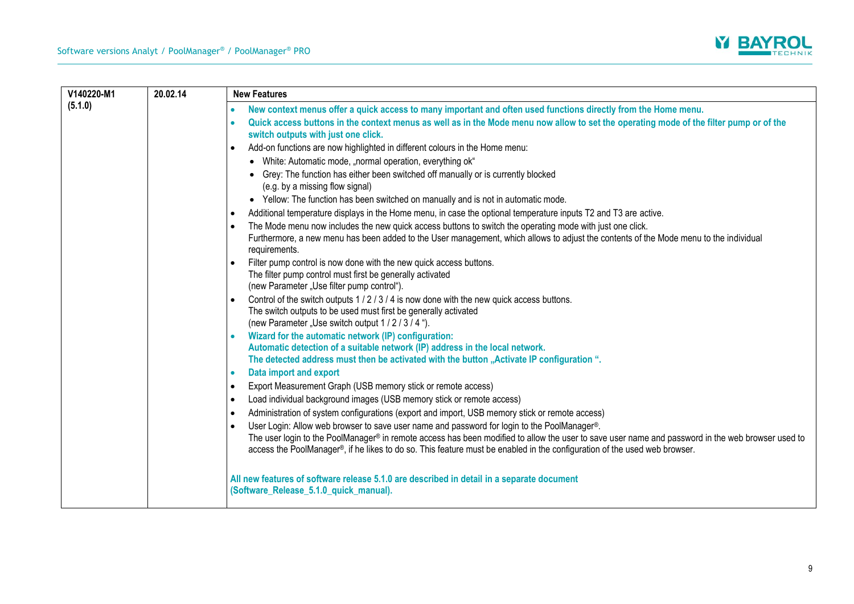

| V140220-M1 | 20.02.14 | <b>New Features</b>                                                                                                                                                                                                                                                                                                                                                           |
|------------|----------|-------------------------------------------------------------------------------------------------------------------------------------------------------------------------------------------------------------------------------------------------------------------------------------------------------------------------------------------------------------------------------|
| (5.1.0)    |          | New context menus offer a quick access to many important and often used functions directly from the Home menu.<br>$\bullet$                                                                                                                                                                                                                                                   |
|            |          | Quick access buttons in the context menus as well as in the Mode menu now allow to set the operating mode of the filter pump or of the<br>$\bullet$<br>switch outputs with just one click.                                                                                                                                                                                    |
|            |          | Add-on functions are now highlighted in different colours in the Home menu:<br>$\bullet$                                                                                                                                                                                                                                                                                      |
|            |          | • White: Automatic mode, "normal operation, everything ok"                                                                                                                                                                                                                                                                                                                    |
|            |          | • Grey: The function has either been switched off manually or is currently blocked<br>(e.g. by a missing flow signal)                                                                                                                                                                                                                                                         |
|            |          | • Yellow: The function has been switched on manually and is not in automatic mode.                                                                                                                                                                                                                                                                                            |
|            |          | Additional temperature displays in the Home menu, in case the optional temperature inputs T2 and T3 are active.<br>$\bullet$                                                                                                                                                                                                                                                  |
|            |          | The Mode menu now includes the new quick access buttons to switch the operating mode with just one click.<br>$\bullet$                                                                                                                                                                                                                                                        |
|            |          | Furthermore, a new menu has been added to the User management, which allows to adjust the contents of the Mode menu to the individual<br>requirements.                                                                                                                                                                                                                        |
|            |          | Filter pump control is now done with the new quick access buttons.<br>The filter pump control must first be generally activated                                                                                                                                                                                                                                               |
|            |          | (new Parameter "Use filter pump control").                                                                                                                                                                                                                                                                                                                                    |
|            |          | Control of the switch outputs 1/2/3/4 is now done with the new quick access buttons.                                                                                                                                                                                                                                                                                          |
|            |          | The switch outputs to be used must first be generally activated<br>(new Parameter "Use switch output 1 / 2 / 3 / 4 ").                                                                                                                                                                                                                                                        |
|            |          | Wizard for the automatic network (IP) configuration:<br>$\bullet$                                                                                                                                                                                                                                                                                                             |
|            |          | Automatic detection of a suitable network (IP) address in the local network.                                                                                                                                                                                                                                                                                                  |
|            |          | The detected address must then be activated with the button "Activate IP configuration".                                                                                                                                                                                                                                                                                      |
|            |          | Data import and export<br>$\bullet$                                                                                                                                                                                                                                                                                                                                           |
|            |          | Export Measurement Graph (USB memory stick or remote access)<br>$\bullet$                                                                                                                                                                                                                                                                                                     |
|            |          | Load individual background images (USB memory stick or remote access)<br>$\bullet$                                                                                                                                                                                                                                                                                            |
|            |          | Administration of system configurations (export and import, USB memory stick or remote access)<br>$\bullet$                                                                                                                                                                                                                                                                   |
|            |          | User Login: Allow web browser to save user name and password for login to the PoolManager®.<br>The user login to the PoolManager® in remote access has been modified to allow the user to save user name and password in the web browser used to<br>access the PoolManager®, if he likes to do so. This feature must be enabled in the configuration of the used web browser. |
|            |          | All new features of software release 5.1.0 are described in detail in a separate document<br>(Software_Release_5.1.0_quick_manual).                                                                                                                                                                                                                                           |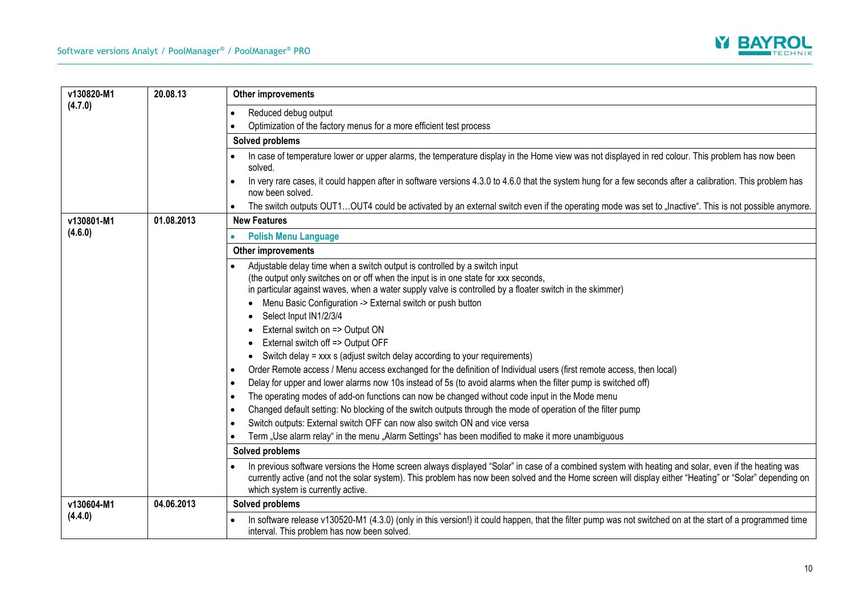

| v130820-M1<br>(4.7.0) | 20.08.13   | <b>Other improvements</b>                                                                                                                                                                                                                                                                                                                           |
|-----------------------|------------|-----------------------------------------------------------------------------------------------------------------------------------------------------------------------------------------------------------------------------------------------------------------------------------------------------------------------------------------------------|
|                       |            | Reduced debug output<br>$\bullet$                                                                                                                                                                                                                                                                                                                   |
|                       |            | Optimization of the factory menus for a more efficient test process                                                                                                                                                                                                                                                                                 |
|                       |            | Solved problems                                                                                                                                                                                                                                                                                                                                     |
|                       |            | In case of temperature lower or upper alarms, the temperature display in the Home view was not displayed in red colour. This problem has now been<br>solved.                                                                                                                                                                                        |
|                       |            | In very rare cases, it could happen after in software versions 4.3.0 to 4.6.0 that the system hung for a few seconds after a calibration. This problem has<br>now been solved.                                                                                                                                                                      |
|                       |            | The switch outputs OUT1OUT4 could be activated by an external switch even if the operating mode was set to "Inactive". This is not possible anymore.                                                                                                                                                                                                |
| v130801-M1            | 01.08.2013 | <b>New Features</b>                                                                                                                                                                                                                                                                                                                                 |
| (4.6.0)               |            | <b>Polish Menu Language</b>                                                                                                                                                                                                                                                                                                                         |
|                       |            | Other improvements                                                                                                                                                                                                                                                                                                                                  |
|                       |            | Adjustable delay time when a switch output is controlled by a switch input                                                                                                                                                                                                                                                                          |
|                       |            | (the output only switches on or off when the input is in one state for xxx seconds,                                                                                                                                                                                                                                                                 |
|                       |            | in particular against waves, when a water supply valve is controlled by a floater switch in the skimmer)                                                                                                                                                                                                                                            |
|                       |            | Menu Basic Configuration -> External switch or push button                                                                                                                                                                                                                                                                                          |
|                       |            | Select Input IN1/2/3/4                                                                                                                                                                                                                                                                                                                              |
|                       |            | External switch on => Output ON                                                                                                                                                                                                                                                                                                                     |
|                       |            | External switch off => Output OFF                                                                                                                                                                                                                                                                                                                   |
|                       |            | Switch delay = xxx s (adjust switch delay according to your requirements)                                                                                                                                                                                                                                                                           |
|                       |            | Order Remote access / Menu access exchanged for the definition of Individual users (first remote access, then local)<br>$\bullet$                                                                                                                                                                                                                   |
|                       |            | Delay for upper and lower alarms now 10s instead of 5s (to avoid alarms when the filter pump is switched off)<br>$\bullet$                                                                                                                                                                                                                          |
|                       |            | The operating modes of add-on functions can now be changed without code input in the Mode menu<br>$\bullet$                                                                                                                                                                                                                                         |
|                       |            | Changed default setting: No blocking of the switch outputs through the mode of operation of the filter pump<br>$\bullet$                                                                                                                                                                                                                            |
|                       |            | Switch outputs: External switch OFF can now also switch ON and vice versa<br>$\bullet$                                                                                                                                                                                                                                                              |
|                       |            | Term "Use alarm relay" in the menu "Alarm Settings" has been modified to make it more unambiguous                                                                                                                                                                                                                                                   |
|                       |            | Solved problems                                                                                                                                                                                                                                                                                                                                     |
|                       |            | In previous software versions the Home screen always displayed "Solar" in case of a combined system with heating and solar, even if the heating was<br>currently active (and not the solar system). This problem has now been solved and the Home screen will display either "Heating" or "Solar" depending on<br>which system is currently active. |
| v130604-M1            | 04.06.2013 | Solved problems                                                                                                                                                                                                                                                                                                                                     |
| (4.4.0)               |            | In software release v130520-M1 (4.3.0) (only in this version!) it could happen, that the filter pump was not switched on at the start of a programmed time<br>interval. This problem has now been solved.                                                                                                                                           |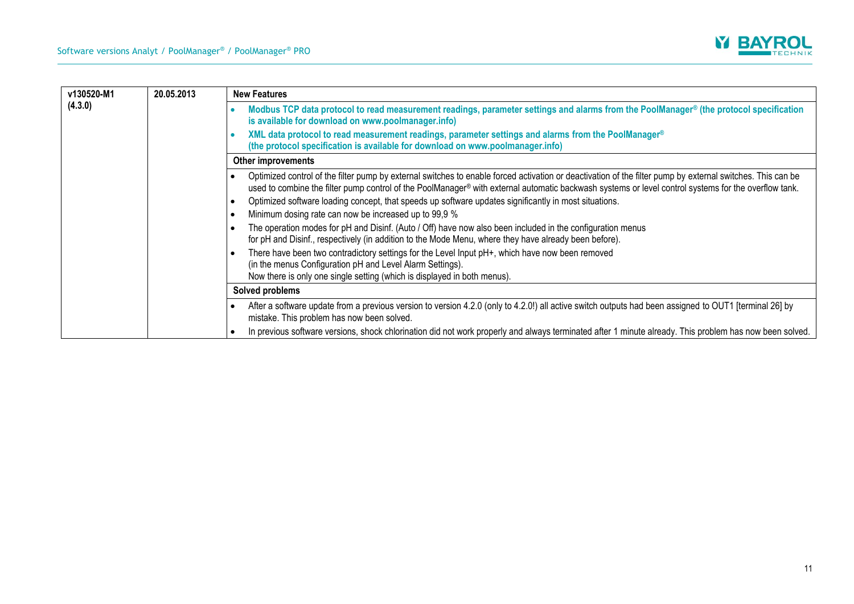

| v130520-M1<br>(4.3.0) | 20.05.2013 | <b>New Features</b>                                                                                                                                                                                                                                                                                                |
|-----------------------|------------|--------------------------------------------------------------------------------------------------------------------------------------------------------------------------------------------------------------------------------------------------------------------------------------------------------------------|
|                       |            | Modbus TCP data protocol to read measurement readings, parameter settings and alarms from the PoolManager® (the protocol specification<br>is available for download on www.poolmanager.info)                                                                                                                       |
|                       |            | XML data protocol to read measurement readings, parameter settings and alarms from the PoolManager®<br>(the protocol specification is available for download on www.poolmanager.info)                                                                                                                              |
|                       |            | <b>Other improvements</b>                                                                                                                                                                                                                                                                                          |
|                       |            | Optimized control of the filter pump by external switches to enable forced activation or deactivation of the filter pump by external switches. This can be<br>used to combine the filter pump control of the PoolManager® with external automatic backwash systems or level control systems for the overflow tank. |
|                       |            | Optimized software loading concept, that speeds up software updates significantly in most situations.                                                                                                                                                                                                              |
|                       |            | Minimum dosing rate can now be increased up to 99,9 %                                                                                                                                                                                                                                                              |
|                       |            | The operation modes for pH and Disinf. (Auto / Off) have now also been included in the configuration menus<br>for pH and Disinf., respectively (in addition to the Mode Menu, where they have already been before).                                                                                                |
|                       |            | There have been two contradictory settings for the Level Input pH+, which have now been removed<br>(in the menus Configuration pH and Level Alarm Settings).<br>Now there is only one single setting (which is displayed in both menus).                                                                           |
|                       |            | Solved problems                                                                                                                                                                                                                                                                                                    |
|                       |            | After a software update from a previous version to version 4.2.0 (only to 4.2.0!) all active switch outputs had been assigned to OUT1 [terminal 26] by<br>mistake. This problem has now been solved.                                                                                                               |
|                       |            | In previous software versions, shock chlorination did not work properly and always terminated after 1 minute already. This problem has now been solved.                                                                                                                                                            |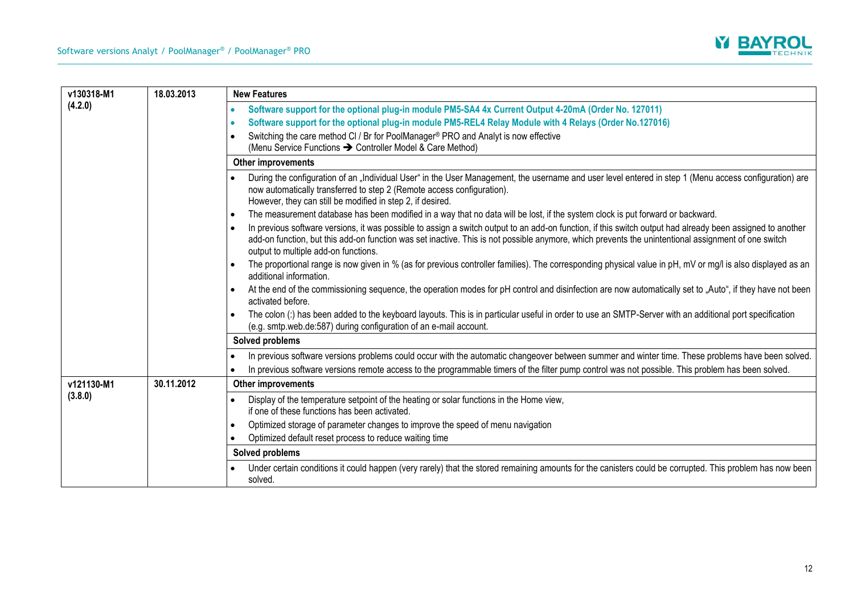

| v130318-M1 | 18.03.2013 | <b>New Features</b>                                                                                                                                                                                                                                                                                                                                       |
|------------|------------|-----------------------------------------------------------------------------------------------------------------------------------------------------------------------------------------------------------------------------------------------------------------------------------------------------------------------------------------------------------|
| (4.2.0)    |            | Software support for the optional plug-in module PM5-SA4 4x Current Output 4-20mA (Order No. 127011)<br>$\bullet$                                                                                                                                                                                                                                         |
|            |            | Software support for the optional plug-in module PM5-REL4 Relay Module with 4 Relays (Order No.127016)<br>۰                                                                                                                                                                                                                                               |
|            |            | Switching the care method CI / Br for PoolManager® PRO and Analyt is now effective<br>(Menu Service Functions > Controller Model & Care Method)                                                                                                                                                                                                           |
|            |            | Other improvements                                                                                                                                                                                                                                                                                                                                        |
|            |            | During the configuration of an "Individual User" in the User Management, the username and user level entered in step 1 (Menu access configuration) are<br>now automatically transferred to step 2 (Remote access configuration).<br>However, they can still be modified in step 2, if desired.                                                            |
|            |            | The measurement database has been modified in a way that no data will be lost, if the system clock is put forward or backward.<br>$\bullet$                                                                                                                                                                                                               |
|            |            | In previous software versions, it was possible to assign a switch output to an add-on function, if this switch output had already been assigned to another<br>add-on function, but this add-on function was set inactive. This is not possible anymore, which prevents the unintentional assignment of one switch<br>output to multiple add-on functions. |
|            |            | The proportional range is now given in % (as for previous controller families). The corresponding physical value in pH, mV or mg/l is also displayed as an<br>additional information.                                                                                                                                                                     |
|            |            | At the end of the commissioning sequence, the operation modes for pH control and disinfection are now automatically set to "Auto", if they have not been<br>activated before.                                                                                                                                                                             |
|            |            | The colon (:) has been added to the keyboard layouts. This is in particular useful in order to use an SMTP-Server with an additional port specification<br>(e.g. smtp.web.de:587) during configuration of an e-mail account.                                                                                                                              |
|            |            | Solved problems                                                                                                                                                                                                                                                                                                                                           |
|            |            | In previous software versions problems could occur with the automatic changeover between summer and winter time. These problems have been solved.<br>$\bullet$<br>In previous software versions remote access to the programmable timers of the filter pump control was not possible. This problem has been solved.<br>$\bullet$                          |
| v121130-M1 | 30.11.2012 | Other improvements                                                                                                                                                                                                                                                                                                                                        |
| (3.8.0)    |            | Display of the temperature setpoint of the heating or solar functions in the Home view,<br>$\bullet$<br>if one of these functions has been activated.                                                                                                                                                                                                     |
|            |            | Optimized storage of parameter changes to improve the speed of menu navigation<br>$\bullet$                                                                                                                                                                                                                                                               |
|            |            | Optimized default reset process to reduce waiting time<br>$\bullet$                                                                                                                                                                                                                                                                                       |
|            |            | Solved problems                                                                                                                                                                                                                                                                                                                                           |
|            |            | Under certain conditions it could happen (very rarely) that the stored remaining amounts for the canisters could be corrupted. This problem has now been<br>solved.                                                                                                                                                                                       |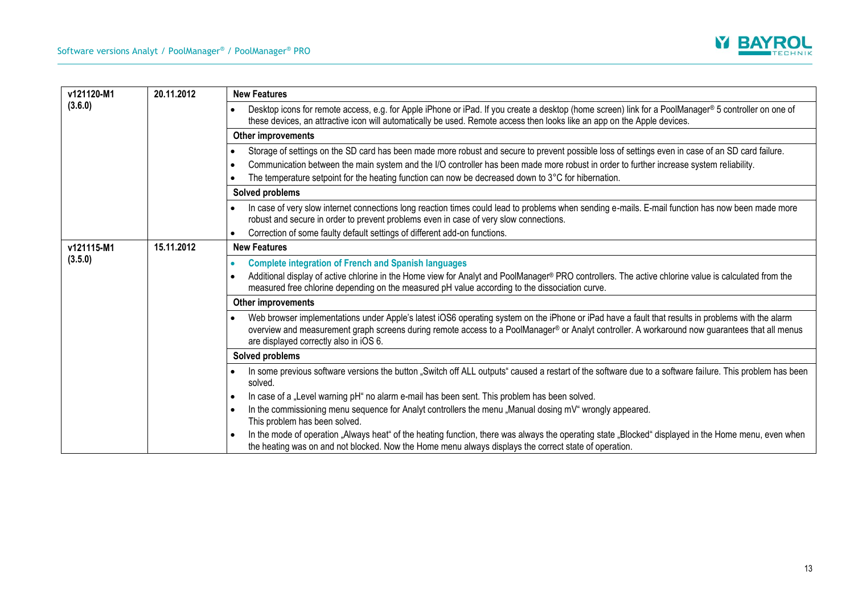

| v121120-M1<br>(3.6.0) | 20.11.2012 | <b>New Features</b>                                                                                                                                                                                                                                                                                                                                                                                                 |
|-----------------------|------------|---------------------------------------------------------------------------------------------------------------------------------------------------------------------------------------------------------------------------------------------------------------------------------------------------------------------------------------------------------------------------------------------------------------------|
|                       |            | Desktop icons for remote access, e.g. for Apple iPhone or iPad. If you create a desktop (home screen) link for a PoolManager® 5 controller on one of<br>these devices, an attractive icon will automatically be used. Remote access then looks like an app on the Apple devices.                                                                                                                                    |
|                       |            | <b>Other improvements</b>                                                                                                                                                                                                                                                                                                                                                                                           |
|                       |            | Storage of settings on the SD card has been made more robust and secure to prevent possible loss of settings even in case of an SD card failure.<br>Communication between the main system and the I/O controller has been made more robust in order to further increase system reliability.<br>- 0<br>The temperature setpoint for the heating function can now be decreased down to $3^{\circ}$ C for hibernation. |
|                       |            | Solved problems                                                                                                                                                                                                                                                                                                                                                                                                     |
|                       |            | In case of very slow internet connections long reaction times could lead to problems when sending e-mails. E-mail function has now been made more<br>robust and secure in order to prevent problems even in case of very slow connections.                                                                                                                                                                          |
|                       |            | Correction of some faulty default settings of different add-on functions.                                                                                                                                                                                                                                                                                                                                           |
| v121115-M1            | 15.11.2012 | <b>New Features</b>                                                                                                                                                                                                                                                                                                                                                                                                 |
| (3.5.0)               |            | <b>Complete integration of French and Spanish languages</b>                                                                                                                                                                                                                                                                                                                                                         |
|                       |            | Additional display of active chlorine in the Home view for Analyt and PoolManager® PRO controllers. The active chlorine value is calculated from the<br>measured free chlorine depending on the measured pH value according to the dissociation curve.                                                                                                                                                              |
|                       |            | Other improvements                                                                                                                                                                                                                                                                                                                                                                                                  |
|                       |            | Web browser implementations under Apple's latest iOS6 operating system on the iPhone or iPad have a fault that results in problems with the alarm<br>overview and measurement graph screens during remote access to a PoolManager® or Analyt controller. A workaround now guarantees that all menus<br>are displayed correctly also in iOS 6.                                                                       |
|                       |            | Solved problems                                                                                                                                                                                                                                                                                                                                                                                                     |
|                       |            | In some previous software versions the button "Switch off ALL outputs" caused a restart of the software due to a software failure. This problem has been<br>solved.                                                                                                                                                                                                                                                 |
|                       |            | In case of a "Level warning pH" no alarm e-mail has been sent. This problem has been solved.                                                                                                                                                                                                                                                                                                                        |
|                       |            | In the commissioning menu sequence for Analyt controllers the menu "Manual dosing mV" wrongly appeared.<br>- 0<br>This problem has been solved.                                                                                                                                                                                                                                                                     |
|                       |            | In the mode of operation "Always heat" of the heating function, there was always the operating state "Blocked" displayed in the Home menu, even when<br>the heating was on and not blocked. Now the Home menu always displays the correct state of operation.                                                                                                                                                       |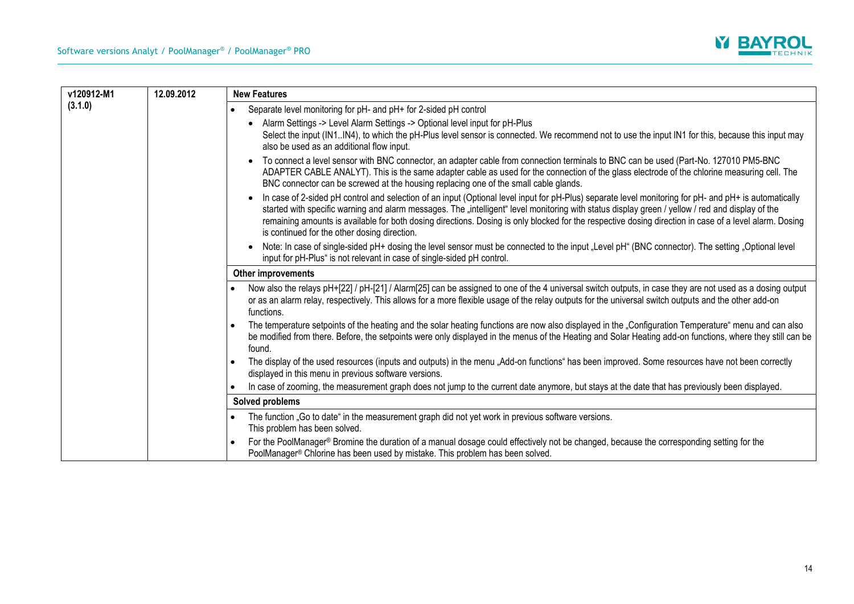

| v120912-M1<br>(3.1.0) | 12.09.2012 | <b>New Features</b>                                                                                                                                                                                                                                                                                                                                                                                                                                                                                                 |
|-----------------------|------------|---------------------------------------------------------------------------------------------------------------------------------------------------------------------------------------------------------------------------------------------------------------------------------------------------------------------------------------------------------------------------------------------------------------------------------------------------------------------------------------------------------------------|
|                       |            | Separate level monitoring for pH- and pH+ for 2-sided pH control<br>$\bullet$                                                                                                                                                                                                                                                                                                                                                                                                                                       |
|                       |            | Alarm Settings -> Level Alarm Settings -> Optional level input for pH-Plus<br>Select the input (IN1IN4), to which the pH-Plus level sensor is connected. We recommend not to use the input IN1 for this, because this input may<br>also be used as an additional flow input.                                                                                                                                                                                                                                        |
|                       |            | To connect a level sensor with BNC connector, an adapter cable from connection terminals to BNC can be used (Part-No. 127010 PM5-BNC<br>ADAPTER CABLE ANALYT). This is the same adapter cable as used for the connection of the glass electrode of the chlorine measuring cell. The<br>BNC connector can be screwed at the housing replacing one of the small cable glands.                                                                                                                                         |
|                       |            | In case of 2-sided pH control and selection of an input (Optional level input for pH-Plus) separate level monitoring for pH- and pH+ is automatically<br>started with specific warning and alarm messages. The "intelligent" level monitoring with status display green / yellow / red and display of the<br>remaining amounts is available for both dosing directions. Dosing is only blocked for the respective dosing direction in case of a level alarm. Dosing<br>is continued for the other dosing direction. |
|                       |            | Note: In case of single-sided pH+ dosing the level sensor must be connected to the input "Level pH" (BNC connector). The setting "Optional level<br>$\bullet$<br>input for pH-Plus" is not relevant in case of single-sided pH control.                                                                                                                                                                                                                                                                             |
|                       |            | Other improvements                                                                                                                                                                                                                                                                                                                                                                                                                                                                                                  |
|                       |            | Now also the relays pH+[22] / pH-[21] / Alarm[25] can be assigned to one of the 4 universal switch outputs, in case they are not used as a dosing output<br>$\bullet$<br>or as an alarm relay, respectively. This allows for a more flexible usage of the relay outputs for the universal switch outputs and the other add-on<br>functions.                                                                                                                                                                         |
|                       |            | The temperature setpoints of the heating and the solar heating functions are now also displayed in the "Configuration Temperature" menu and can also<br>be modified from there. Before, the setpoints were only displayed in the menus of the Heating and Solar Heating add-on functions, where they still can be<br>found.                                                                                                                                                                                         |
|                       |            | The display of the used resources (inputs and outputs) in the menu "Add-on functions" has been improved. Some resources have not been correctly<br>$\bullet$<br>displayed in this menu in previous software versions.                                                                                                                                                                                                                                                                                               |
|                       |            | In case of zooming, the measurement graph does not jump to the current date anymore, but stays at the date that has previously been displayed.<br>$\bullet$                                                                                                                                                                                                                                                                                                                                                         |
|                       |            | Solved problems                                                                                                                                                                                                                                                                                                                                                                                                                                                                                                     |
|                       |            | The function "Go to date" in the measurement graph did not yet work in previous software versions.<br>$\bullet$<br>This problem has been solved.                                                                                                                                                                                                                                                                                                                                                                    |
|                       |            | For the PoolManager® Bromine the duration of a manual dosage could effectively not be changed, because the corresponding setting for the<br>$\bullet$<br>PoolManager® Chlorine has been used by mistake. This problem has been solved.                                                                                                                                                                                                                                                                              |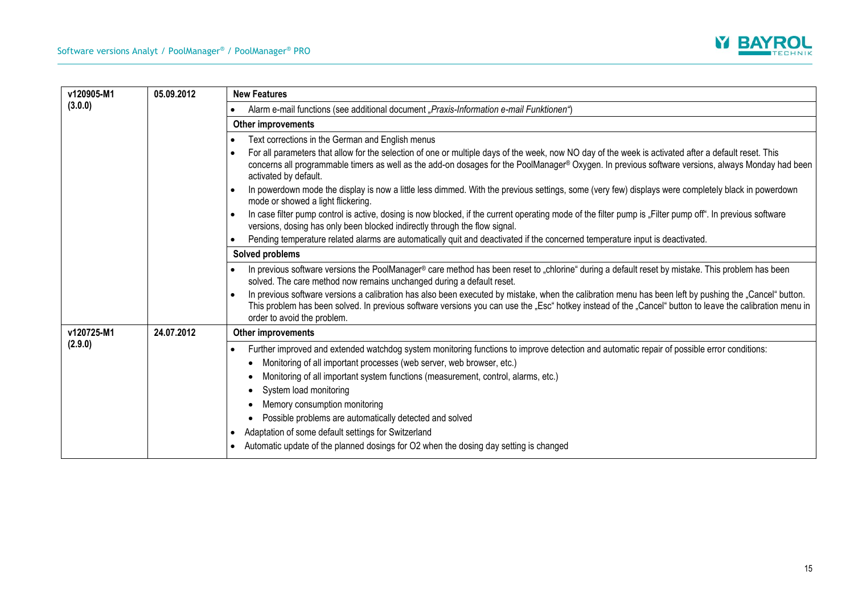

| v120905-M1<br>(3.0.0) | 05.09.2012 | <b>New Features</b>                                                                                                                                                                                                                                                                                                                                                                                                                                                                                                                                                                                                   |
|-----------------------|------------|-----------------------------------------------------------------------------------------------------------------------------------------------------------------------------------------------------------------------------------------------------------------------------------------------------------------------------------------------------------------------------------------------------------------------------------------------------------------------------------------------------------------------------------------------------------------------------------------------------------------------|
|                       |            | Alarm e-mail functions (see additional document "Praxis-Information e-mail Funktionen")                                                                                                                                                                                                                                                                                                                                                                                                                                                                                                                               |
|                       |            | Other improvements                                                                                                                                                                                                                                                                                                                                                                                                                                                                                                                                                                                                    |
|                       |            | Text corrections in the German and English menus                                                                                                                                                                                                                                                                                                                                                                                                                                                                                                                                                                      |
|                       |            | For all parameters that allow for the selection of one or multiple days of the week, now NO day of the week is activated after a default reset. This<br>concerns all programmable timers as well as the add-on dosages for the PoolManager® Oxygen. In previous software versions, always Monday had been<br>activated by default.                                                                                                                                                                                                                                                                                    |
|                       |            | In powerdown mode the display is now a little less dimmed. With the previous settings, some (very few) displays were completely black in powerdown<br>mode or showed a light flickering.                                                                                                                                                                                                                                                                                                                                                                                                                              |
|                       |            | In case filter pump control is active, dosing is now blocked, if the current operating mode of the filter pump is "Filter pump off". In previous software<br>versions, dosing has only been blocked indirectly through the flow signal.                                                                                                                                                                                                                                                                                                                                                                               |
|                       |            | Pending temperature related alarms are automatically quit and deactivated if the concerned temperature input is deactivated.                                                                                                                                                                                                                                                                                                                                                                                                                                                                                          |
|                       |            | Solved problems                                                                                                                                                                                                                                                                                                                                                                                                                                                                                                                                                                                                       |
|                       |            | In previous software versions the PoolManager® care method has been reset to "chlorine" during a default reset by mistake. This problem has been<br>solved. The care method now remains unchanged during a default reset.                                                                                                                                                                                                                                                                                                                                                                                             |
|                       |            | In previous software versions a calibration has also been executed by mistake, when the calibration menu has been left by pushing the "Cancel" button.<br>This problem has been solved. In previous software versions you can use the "Esc" hotkey instead of the "Cancel" button to leave the calibration menu in<br>order to avoid the problem.                                                                                                                                                                                                                                                                     |
| v120725-M1<br>(2.9.0) | 24.07.2012 | Other improvements                                                                                                                                                                                                                                                                                                                                                                                                                                                                                                                                                                                                    |
|                       |            | Further improved and extended watchdog system monitoring functions to improve detection and automatic repair of possible error conditions:<br>$\bullet$<br>Monitoring of all important processes (web server, web browser, etc.)<br>Monitoring of all important system functions (measurement, control, alarms, etc.)<br>System load monitoring<br>Memory consumption monitoring<br>Possible problems are automatically detected and solved<br>Adaptation of some default settings for Switzerland<br>$\bullet$<br>Automatic update of the planned dosings for O2 when the dosing day setting is changed<br>$\bullet$ |